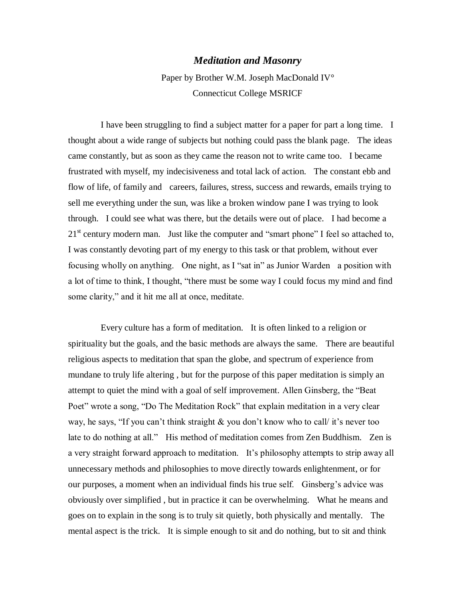## *Meditation and Masonry*

Paper by Brother W.M. Joseph MacDonald IV° Connecticut College MSRICF

I have been struggling to find a subject matter for a paper for part a long time. I thought about a wide range of subjects but nothing could pass the blank page. The ideas came constantly, but as soon as they came the reason not to write came too. I became frustrated with myself, my indecisiveness and total lack of action. The constant ebb and flow of life, of family and careers, failures, stress, success and rewards, emails trying to sell me everything under the sun, was like a broken window pane I was trying to look through. I could see what was there, but the details were out of place. I had become a 21<sup>st</sup> century modern man. Just like the computer and "smart phone" I feel so attached to, I was constantly devoting part of my energy to this task or that problem, without ever focusing wholly on anything. One night, as I "sat in" as Junior Warden a position with a lot of time to think, I thought, "there must be some way I could focus my mind and find some clarity," and it hit me all at once, meditate.

Every culture has a form of meditation. It is often linked to a religion or spirituality but the goals, and the basic methods are always the same. There are beautiful religious aspects to meditation that span the globe, and spectrum of experience from mundane to truly life altering , but for the purpose of this paper meditation is simply an attempt to quiet the mind with a goal of self improvement. Allen Ginsberg, the "Beat Poet" wrote a song, "Do The Meditation Rock" that explain meditation in a very clear way, he says, "If you can't think straight & you don't know who to call/ it's never too late to do nothing at all." His method of meditation comes from Zen Buddhism. Zen is a very straight forward approach to meditation. It's philosophy attempts to strip away all unnecessary methods and philosophies to move directly towards enlightenment, or for our purposes, a moment when an individual finds his true self. Ginsberg's advice was obviously over simplified , but in practice it can be overwhelming. What he means and goes on to explain in the song is to truly sit quietly, both physically and mentally. The mental aspect is the trick. It is simple enough to sit and do nothing, but to sit and think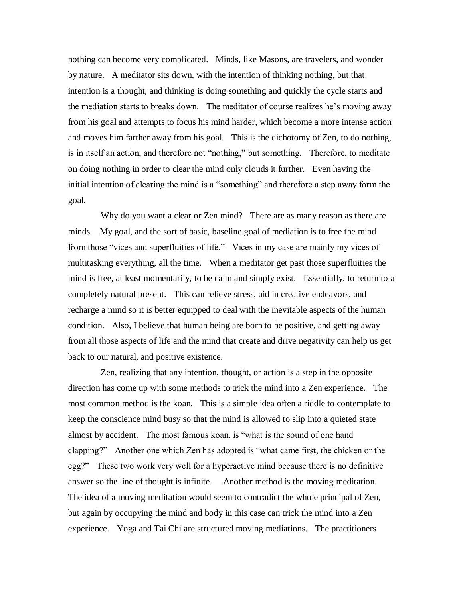nothing can become very complicated. Minds, like Masons, are travelers, and wonder by nature. A meditator sits down, with the intention of thinking nothing, but that intention is a thought, and thinking is doing something and quickly the cycle starts and the mediation starts to breaks down. The meditator of course realizes he's moving away from his goal and attempts to focus his mind harder, which become a more intense action and moves him farther away from his goal. This is the dichotomy of Zen, to do nothing, is in itself an action, and therefore not "nothing," but something. Therefore, to meditate on doing nothing in order to clear the mind only clouds it further. Even having the initial intention of clearing the mind is a "something" and therefore a step away form the goal.

Why do you want a clear or Zen mind? There are as many reason as there are minds. My goal, and the sort of basic, baseline goal of mediation is to free the mind from those "vices and superfluities of life." Vices in my case are mainly my vices of multitasking everything, all the time. When a meditator get past those superfluities the mind is free, at least momentarily, to be calm and simply exist. Essentially, to return to a completely natural present. This can relieve stress, aid in creative endeavors, and recharge a mind so it is better equipped to deal with the inevitable aspects of the human condition. Also, I believe that human being are born to be positive, and getting away from all those aspects of life and the mind that create and drive negativity can help us get back to our natural, and positive existence.

Zen, realizing that any intention, thought, or action is a step in the opposite direction has come up with some methods to trick the mind into a Zen experience. The most common method is the koan. This is a simple idea often a riddle to contemplate to keep the conscience mind busy so that the mind is allowed to slip into a quieted state almost by accident. The most famous koan, is "what is the sound of one hand clapping?" Another one which Zen has adopted is "what came first, the chicken or the egg?" These two work very well for a hyperactive mind because there is no definitive answer so the line of thought is infinite. Another method is the moving meditation. The idea of a moving meditation would seem to contradict the whole principal of Zen, but again by occupying the mind and body in this case can trick the mind into a Zen experience. Yoga and Tai Chi are structured moving mediations. The practitioners